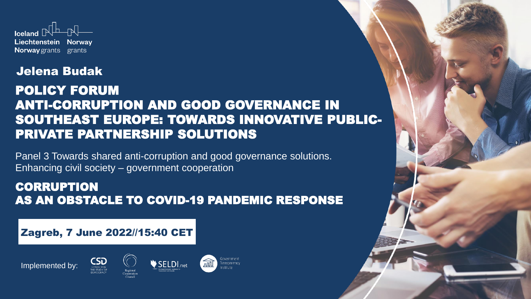

#### Jelena Budak

#### POLICY FORUM ANTI-CORRUPTION АND GOOD GOVERNANCE IN SOUTHEAST EUROPE: TOWARDS INNOVATIVE PUBLIC-PRIVATE PARTNERSHIP SOLUTIONS

Panel 3 Towards shared anti-corruption and good governance solutions. Enhancing civil society – government cooperation

#### **CORRUPTION** AS AN OBSTACLE TO COVID-19 PANDEMIC RESPONSE

#### Zagreb, 7 June 2022//15:40 CET

CSD





寙 Transparency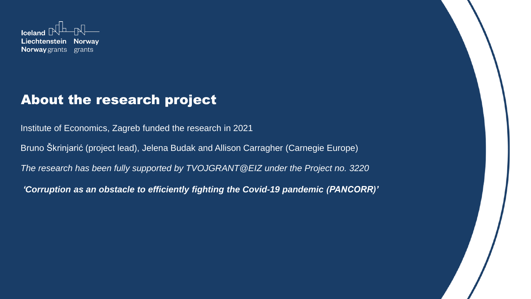

## About the research project

Institute of Economics, Zagreb funded the research in 2021

Bruno Škrinjarić (project lead), Jelena Budak and Allison Carragher (Carnegie Europe)

*The research has been fully supported by TVOJGRANT@EIZ under the Project no. 3220*

*'Corruption as an obstacle to efficiently fighting the Covid-19 pandemic (PANCORR)'*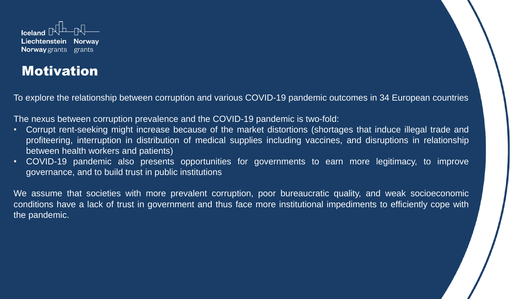

## Motivation

To explore the relationship between corruption and various COVID-19 pandemic outcomes in 34 European countries

The nexus between corruption prevalence and the COVID-19 pandemic is two-fold:

- Corrupt rent-seeking might increase because of the market distortions (shortages that induce illegal trade and profiteering, interruption in distribution of medical supplies including vaccines, and disruptions in relationship between health workers and patients)
- COVID-19 pandemic also presents opportunities for governments to earn more legitimacy, to improve governance, and to build trust in public institutions

We assume that societies with more prevalent corruption, poor bureaucratic quality, and weak socioeconomic conditions have a lack of trust in government and thus face more institutional impediments to efficiently cope with the pandemic.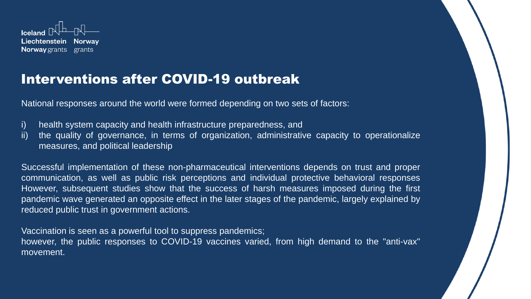

# Interventions after COVID-19 outbreak

National responses around the world were formed depending on two sets of factors:

i) health system capacity and health infrastructure preparedness, and

ii) the quality of governance, in terms of organization, administrative capacity to operationalize measures, and political leadership

Successful implementation of these non-pharmaceutical interventions depends on trust and proper communication, as well as public risk perceptions and individual protective behavioral responses However, subsequent studies show that the success of harsh measures imposed during the first pandemic wave generated an opposite effect in the later stages of the pandemic, largely explained by reduced public trust in government actions.

Vaccination is seen as a powerful tool to suppress pandemics; however, the public responses to COVID-19 vaccines varied, from high demand to the "anti-vax" movement.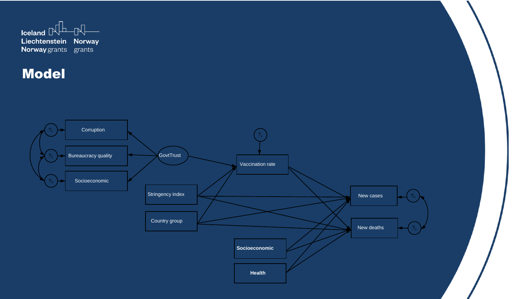

## Model

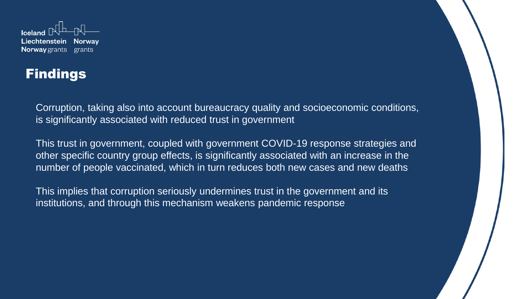

# **Findings**

Corruption, taking also into account bureaucracy quality and socioeconomic conditions, is significantly associated with reduced trust in government

This trust in government, coupled with government COVID-19 response strategies and other specific country group effects, is significantly associated with an increase in the number of people vaccinated, which in turn reduces both new cases and new deaths

This implies that corruption seriously undermines trust in the government and its institutions, and through this mechanism weakens pandemic response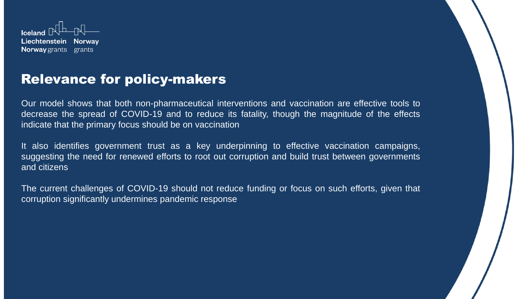

#### Relevance for policy-makers

Our model shows that both non-pharmaceutical interventions and vaccination are effective tools to decrease the spread of COVID-19 and to reduce its fatality, though the magnitude of the effects indicate that the primary focus should be on vaccination

It also identifies government trust as a key underpinning to effective vaccination campaigns, suggesting the need for renewed efforts to root out corruption and build trust between governments and citizens

The current challenges of COVID-19 should not reduce funding or focus on such efforts, given that corruption significantly undermines pandemic response